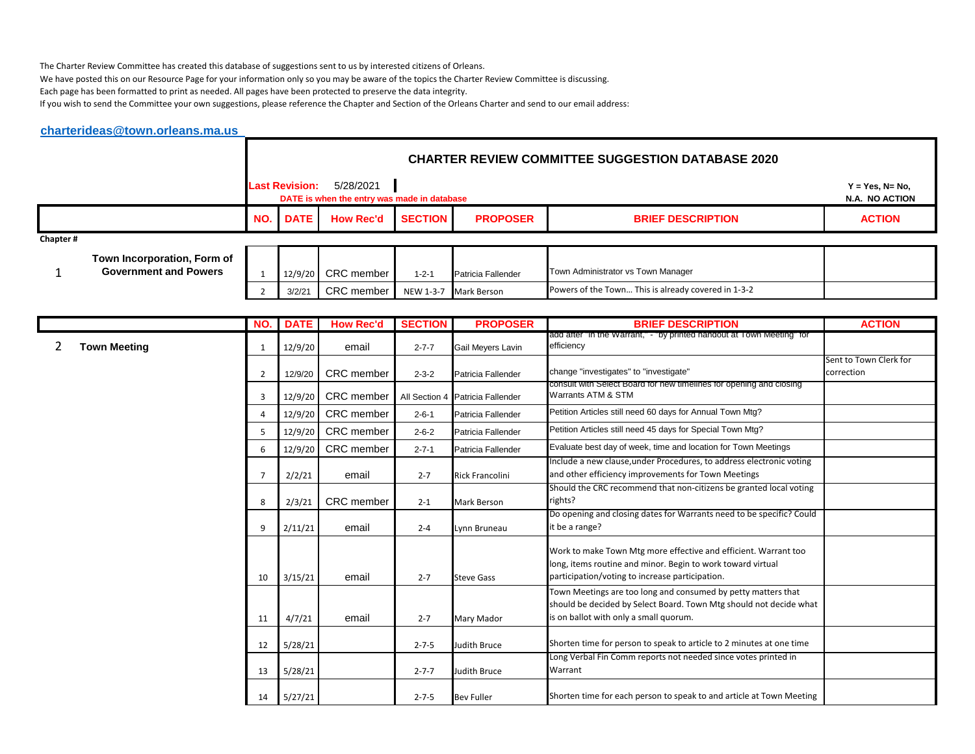The Charter Review Committee has created this database of suggestions sent to us by interested citizens of Orleans.

We have posted this on our Resource Page for your information only so you may be aware of the topics the Charter Review Committee is discussing.

Each page has been formatted to print as needed. All pages have been protected to preserve the data integrity.

If you wish to send the Committee your own suggestions, please reference the Chapter and Section of the Orleans Charter and send to our email address:

## **[charterideas@town.orleans.ma.us](mailto:charterideas@town.orleans.ma.us)**

|          |                                                             | <b>CHARTER REVIEW COMMITTEE SUGGESTION DATABASE 2020</b> |                                                          |                |                       |                                                     |                                      |  |  |  |
|----------|-------------------------------------------------------------|----------------------------------------------------------|----------------------------------------------------------|----------------|-----------------------|-----------------------------------------------------|--------------------------------------|--|--|--|
|          |                                                             | <b>Last Revision:</b>                                    | 5/28/2021<br>DATE is when the entry was made in database |                |                       |                                                     | $Y = Yes, N = No,$<br>N.A. NO ACTION |  |  |  |
|          |                                                             | <b>NO.</b> DATE                                          | <b>How Rec'd</b>                                         | <b>SECTION</b> | <b>PROPOSER</b>       | <b>BRIEF DESCRIPTION</b>                            | <b>ACTION</b>                        |  |  |  |
| Chapter# |                                                             |                                                          |                                                          |                |                       |                                                     |                                      |  |  |  |
|          | Town Incorporation, Form of<br><b>Government and Powers</b> |                                                          | 12/9/20 CRC member                                       | $1 - 2 - 1$    | Patricia Fallender    | Town Administrator vs Town Manager                  |                                      |  |  |  |
|          |                                                             | 3/2/21                                                   | CRC member                                               |                | NEW 1-3-7 Mark Berson | Powers of the Town This is already covered in 1-3-2 |                                      |  |  |  |

|                     | NO.            | <b>DATE</b> | <b>How Rec'd</b>  | <b>SECTION</b> | <b>PROPOSER</b>                  | <b>BRIEF DESCRIPTION</b>                                                                                                                                                          | <b>ACTION</b>                        |
|---------------------|----------------|-------------|-------------------|----------------|----------------------------------|-----------------------------------------------------------------------------------------------------------------------------------------------------------------------------------|--------------------------------------|
| <b>Town Meeting</b> | 1              | 12/9/20     | email             | $2 - 7 - 7$    | Gail Meyers Lavin                | add after "in the Warrant," - "by printed handout at Town Meeting" for<br>efficiency                                                                                              |                                      |
|                     | $\overline{2}$ | 12/9/20     | CRC member        | $2 - 3 - 2$    | Patricia Fallender               | change "investigates" to "investigate"                                                                                                                                            | Sent to Town Clerk for<br>correction |
|                     | 3              | 12/9/20     | CRC member        |                | All Section 4 Patricia Fallender | consult with Select Board for new timelines for opening and closing<br>Warrants ATM & STM                                                                                         |                                      |
|                     | 4              | 12/9/20     | <b>CRC</b> member | $2 - 6 - 1$    | Patricia Fallender               | Petition Articles still need 60 days for Annual Town Mtg?                                                                                                                         |                                      |
|                     | 5              | 12/9/20     | <b>CRC</b> member | $2 - 6 - 2$    | Patricia Fallender               | Petition Articles still need 45 days for Special Town Mtg?                                                                                                                        |                                      |
|                     | 6              | 12/9/20     | CRC member        | $2 - 7 - 1$    | Patricia Fallender               | Evaluate best day of week, time and location for Town Meetings                                                                                                                    |                                      |
|                     | $\overline{7}$ | 2/2/21      | email             | $2 - 7$        | <b>Rick Francolini</b>           | Include a new clause, under Procedures, to address electronic voting<br>and other efficiency improvements for Town Meetings                                                       |                                      |
|                     | 8              | 2/3/21      | <b>CRC</b> member | $2 - 1$        | <b>Mark Berson</b>               | Should the CRC recommend that non-citizens be granted local voting<br>rights?                                                                                                     |                                      |
|                     | 9              | 2/11/21     | email             | $2 - 4$        | Lynn Bruneau                     | Do opening and closing dates for Warrants need to be specific? Could<br>it be a range?                                                                                            |                                      |
|                     | 10             | 3/15/21     | email             | $2 - 7$        | <b>Steve Gass</b>                | Work to make Town Mtg more effective and efficient. Warrant too<br>long, items routine and minor. Begin to work toward virtual<br>participation/voting to increase participation. |                                      |
|                     | 11             | 4/7/21      | email             | $2 - 7$        | Mary Mador                       | Town Meetings are too long and consumed by petty matters that<br>should be decided by Select Board. Town Mtg should not decide what<br>is on ballot with only a small quorum.     |                                      |
|                     | 12             | 5/28/21     |                   | $2 - 7 - 5$    | Judith Bruce                     | Shorten time for person to speak to article to 2 minutes at one time                                                                                                              |                                      |
|                     | 13             | 5/28/21     |                   | $2 - 7 - 7$    | Judith Bruce                     | Long Verbal Fin Comm reports not needed since votes printed in<br>Warrant                                                                                                         |                                      |
|                     | 14             | 5/27/21     |                   | $2 - 7 - 5$    | <b>Bev Fuller</b>                | Shorten time for each person to speak to and article at Town Meeting                                                                                                              |                                      |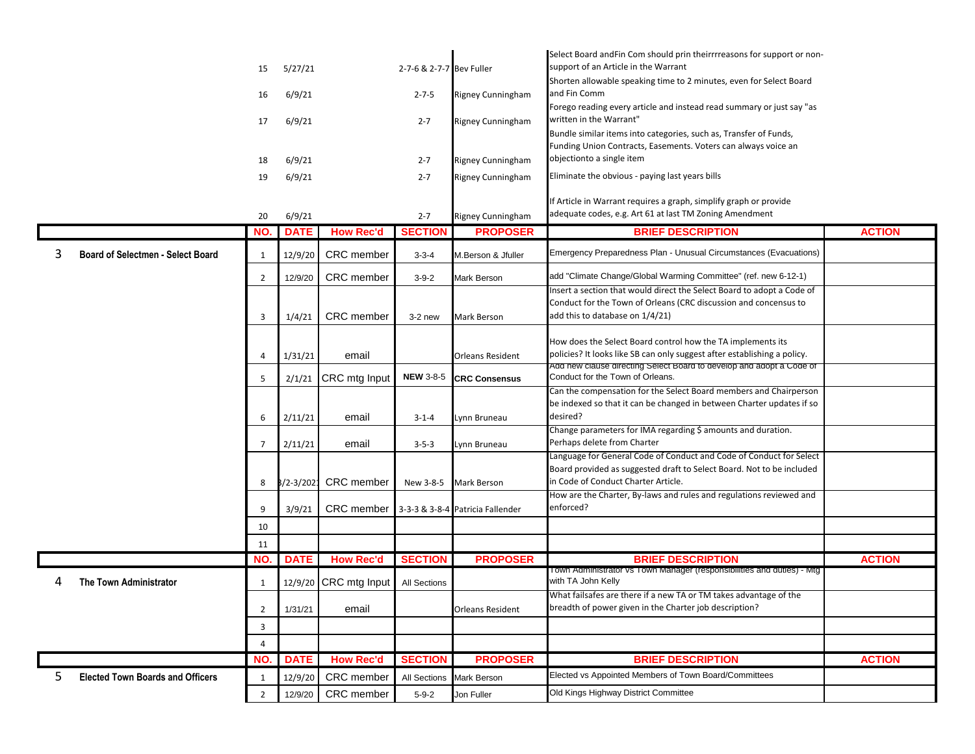|                                          |                |               |                       |                          |                                  | Select Board andFin Com should prin theirrrreasons for support or non-                                                              |               |
|------------------------------------------|----------------|---------------|-----------------------|--------------------------|----------------------------------|-------------------------------------------------------------------------------------------------------------------------------------|---------------|
|                                          | 15             | 5/27/21       |                       | 2-7-6 & 2-7-7 Bev Fuller |                                  | support of an Article in the Warrant                                                                                                |               |
|                                          |                |               |                       |                          |                                  | Shorten allowable speaking time to 2 minutes, even for Select Board                                                                 |               |
|                                          | 16             | 6/9/21        |                       | $2 - 7 - 5$              | Rigney Cunningham                | and Fin Comm                                                                                                                        |               |
|                                          | 17             | 6/9/21        |                       | $2 - 7$                  | Rigney Cunningham                | Forego reading every article and instead read summary or just say "as<br>written in the Warrant"                                    |               |
|                                          |                |               |                       |                          |                                  | Bundle similar items into categories, such as, Transfer of Funds,<br>Funding Union Contracts, Easements. Voters can always voice an |               |
|                                          | 18             | 6/9/21        |                       | $2 - 7$                  | Rigney Cunningham                | objectionto a single item                                                                                                           |               |
|                                          | 19             | 6/9/21        |                       | $2 - 7$                  | Rigney Cunningham                | Eliminate the obvious - paying last years bills                                                                                     |               |
|                                          | 20             | 6/9/21        |                       | $2 - 7$                  | Rigney Cunningham                | If Article in Warrant requires a graph, simplify graph or provide<br>adequate codes, e.g. Art 61 at last TM Zoning Amendment        |               |
|                                          | NO.            | <b>DATE</b>   | <b>How Rec'd</b>      | <b>SECTION</b>           | <b>PROPOSER</b>                  | <b>BRIEF DESCRIPTION</b>                                                                                                            | <b>ACTION</b> |
| <b>Board of Selectmen - Select Board</b> | 1              | 12/9/20       | CRC member            | $3 - 3 - 4$              | M.Berson & Jfuller               | Emergency Preparedness Plan - Unusual Circumstances (Evacuations)                                                                   |               |
|                                          | $\overline{2}$ | 12/9/20       | CRC member            | $3 - 9 - 2$              | Mark Berson                      | add "Climate Change/Global Warming Committee" (ref. new 6-12-1)                                                                     |               |
|                                          |                |               |                       |                          |                                  | Insert a section that would direct the Select Board to adopt a Code of                                                              |               |
|                                          |                |               | CRC member            |                          |                                  | Conduct for the Town of Orleans (CRC discussion and concensus to<br>add this to database on 1/4/21)                                 |               |
|                                          | 3              | 1/4/21        |                       | $3-2$ new                | <b>Mark Berson</b>               |                                                                                                                                     |               |
|                                          |                |               |                       |                          |                                  | How does the Select Board control how the TA implements its                                                                         |               |
|                                          | 4              | 1/31/21       | email                 |                          | <b>Orleans Resident</b>          | policies? It looks like SB can only suggest after establishing a policy.                                                            |               |
|                                          | 5              | 2/1/21        | CRC mtg Input         | <b>NEW 3-8-5</b>         | <b>CRC Consensus</b>             | Add new clause directing Select Board to develop and adopt a Code of<br>Conduct for the Town of Orleans.                            |               |
|                                          |                |               |                       |                          |                                  | Can the compensation for the Select Board members and Chairperson                                                                   |               |
|                                          |                |               |                       |                          |                                  | be indexed so that it can be changed in between Charter updates if so                                                               |               |
|                                          | 6              | 2/11/21       | email                 | $3 - 1 - 4$              | Lynn Bruneau                     | desired?                                                                                                                            |               |
|                                          |                |               |                       |                          |                                  | Change parameters for IMA regarding \$ amounts and duration.                                                                        |               |
|                                          | 7              | 2/11/21       | email                 | $3 - 5 - 3$              | Lynn Bruneau                     | Perhaps delete from Charter                                                                                                         |               |
|                                          |                |               |                       |                          |                                  | Language for General Code of Conduct and Code of Conduct for Select                                                                 |               |
|                                          |                |               |                       |                          |                                  | Board provided as suggested draft to Select Board. Not to be included<br>in Code of Conduct Charter Article.                        |               |
|                                          | 8              | $3/2 - 3/202$ | CRC member            | New 3-8-5                | <b>Mark Berson</b>               | How are the Charter, By-laws and rules and regulations reviewed and                                                                 |               |
|                                          | 9              | 3/9/21        | CRC member            |                          | 3-3-3 & 3-8-4 Patricia Fallender | enforced?                                                                                                                           |               |
|                                          | 10             |               |                       |                          |                                  |                                                                                                                                     |               |
|                                          | 11             |               |                       |                          |                                  |                                                                                                                                     |               |
|                                          | NO.            | <b>DATE</b>   | <b>How Rec'd</b>      | <b>SECTION</b>           | <b>PROPOSER</b>                  | <b>BRIEF DESCRIPTION</b>                                                                                                            | <b>ACTION</b> |
| 4<br>The Town Administrator              | 1              |               | 12/9/20 CRC mtg Input | All Sections             |                                  | Town Administrator vs Town Manager (responsibilities and duties) - Mtg<br>with TA John Kelly                                        |               |
|                                          |                |               |                       |                          |                                  | What failsafes are there if a new TA or TM takes advantage of the                                                                   |               |
|                                          | $\overline{2}$ | 1/31/21       | email                 |                          | <b>Orleans Resident</b>          | breadth of power given in the Charter job description?                                                                              |               |
|                                          | 3              |               |                       |                          |                                  |                                                                                                                                     |               |
|                                          | 4              |               |                       |                          |                                  |                                                                                                                                     |               |
|                                          | NO.            | <b>DATE</b>   | <b>How Rec'd</b>      | <b>SECTION</b>           | <b>PROPOSER</b>                  | <b>BRIEF DESCRIPTION</b>                                                                                                            | <b>ACTION</b> |
| 5.                                       |                |               |                       |                          |                                  | Elected vs Appointed Members of Town Board/Committees                                                                               |               |
| <b>Elected Town Boards and Officers</b>  | 1              | 12/9/20       | CRC member            | <b>All Sections</b>      | Mark Berson                      |                                                                                                                                     |               |
|                                          | $\overline{2}$ | 12/9/20       | CRC member            | $5 - 9 - 2$              | Jon Fuller                       | Old Kings Highway District Committee                                                                                                |               |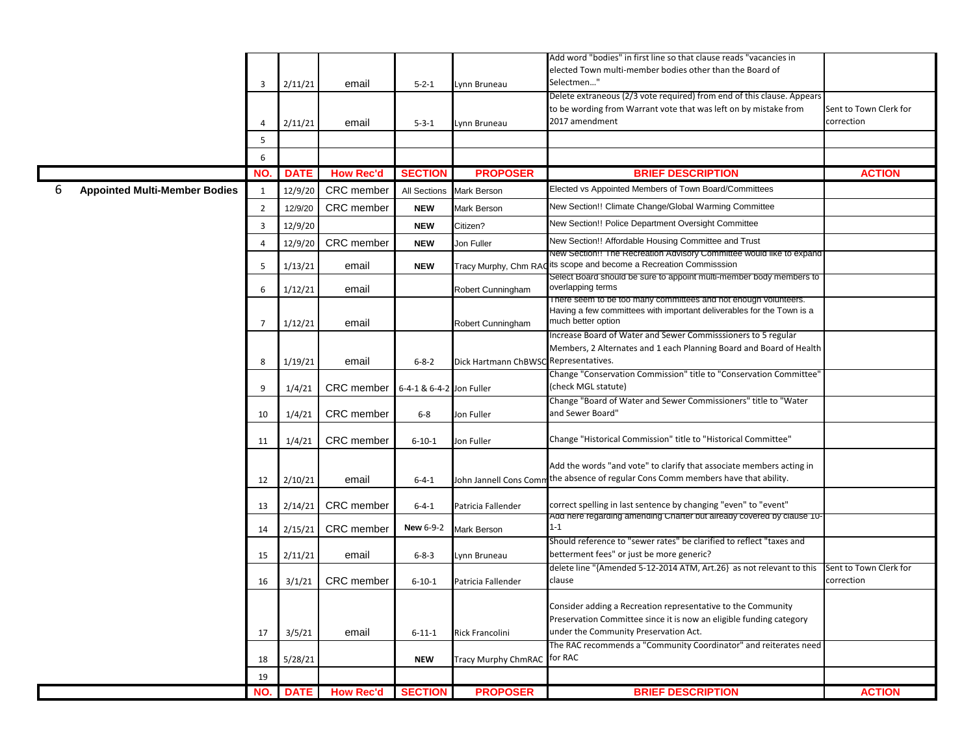|   |                                      |                |             |                   |                          |                                       | Add word "bodies" in first line so that clause reads "vacancies in                          |                        |
|---|--------------------------------------|----------------|-------------|-------------------|--------------------------|---------------------------------------|---------------------------------------------------------------------------------------------|------------------------|
|   |                                      |                |             |                   |                          |                                       | elected Town multi-member bodies other than the Board of                                    |                        |
|   |                                      |                |             |                   |                          |                                       | Selectmen"                                                                                  |                        |
|   |                                      | $\overline{3}$ | 2/11/21     | email             | $5 - 2 - 1$              | Lynn Bruneau                          | Delete extraneous (2/3 vote required) from end of this clause. Appears                      |                        |
|   |                                      |                |             |                   |                          |                                       |                                                                                             |                        |
|   |                                      |                |             |                   |                          |                                       | to be wording from Warrant vote that was left on by mistake from                            | Sent to Town Clerk for |
|   |                                      | 4              | 2/11/21     | email             | $5 - 3 - 1$              | Lynn Bruneau                          | 2017 amendment                                                                              | correction             |
|   |                                      | 5              |             |                   |                          |                                       |                                                                                             |                        |
|   |                                      | 6              |             |                   |                          |                                       |                                                                                             |                        |
|   |                                      | NO.            | <b>DATE</b> | <b>How Rec'd</b>  | <b>SECTION</b>           | <b>PROPOSER</b>                       | <b>BRIEF DESCRIPTION</b>                                                                    | <b>ACTION</b>          |
| 6 | <b>Appointed Multi-Member Bodies</b> | $\mathbf{1}$   | 12/9/20     | CRC member        | All Sections             | Mark Berson                           | Elected vs Appointed Members of Town Board/Committees                                       |                        |
|   |                                      | $\overline{2}$ | 12/9/20     | CRC member        | <b>NEW</b>               | <b>Mark Berson</b>                    | New Section!! Climate Change/Global Warming Committee                                       |                        |
|   |                                      | 3              | 12/9/20     |                   | <b>NEW</b>               | Citizen?                              | New Section!! Police Department Oversight Committee                                         |                        |
|   |                                      | 4              | 12/9/20     | CRC member        | <b>NEW</b>               | Jon Fuller                            | New Section!! Affordable Housing Committee and Trust                                        |                        |
|   |                                      |                |             |                   |                          |                                       | New Section!! The Recreation Advisory Committee would like to expand                        |                        |
|   |                                      | 5              | 1/13/21     | email             | <b>NEW</b>               | Tracy Murphy, Chm RAC                 | its scope and become a Recreation Commisssion                                               |                        |
|   |                                      | 6              | 1/12/21     | email             |                          | Robert Cunningham                     | Select Board should be sure to appoint multi-member body members to<br>overlapping terms    |                        |
|   |                                      |                |             |                   |                          |                                       | There seem to be too many committees and not enough volunteers.                             |                        |
|   |                                      | $\overline{7}$ | 1/12/21     | email             |                          | Robert Cunningham                     | Having a few committees with important deliverables for the Town is a<br>much better option |                        |
|   |                                      |                |             |                   |                          |                                       | Increase Board of Water and Sewer Commisssioners to 5 regular                               |                        |
|   |                                      |                |             |                   |                          |                                       | Members, 2 Alternates and 1 each Planning Board and Board of Health                         |                        |
|   |                                      | 8              | 1/19/21     | email             | $6 - 8 - 2$              | Dick Hartmann ChBWSC Representatives. |                                                                                             |                        |
|   |                                      |                |             |                   |                          |                                       | Change "Conservation Commission" title to "Conservation Committee'                          |                        |
|   |                                      | 9              | 1/4/21      | CRC member        | 6-4-1 & 6-4-2 Jon Fuller |                                       | (check MGL statute)                                                                         |                        |
|   |                                      |                |             |                   |                          |                                       | Change "Board of Water and Sewer Commissioners" title to "Water                             |                        |
|   |                                      | 10             | 1/4/21      | CRC member        | $6 - 8$                  | Jon Fuller                            | and Sewer Board"                                                                            |                        |
|   |                                      | 11             | 1/4/21      | <b>CRC</b> member | $6 - 10 - 1$             | Jon Fuller                            | Change "Historical Commission" title to "Historical Committee"                              |                        |
|   |                                      |                |             |                   |                          |                                       |                                                                                             |                        |
|   |                                      |                |             |                   |                          |                                       | Add the words "and vote" to clarify that associate members acting in                        |                        |
|   |                                      | 12             | 2/10/21     | email             | $6 - 4 - 1$              |                                       | John Jannell Cons Comm the absence of regular Cons Comm members have that ability.          |                        |
|   |                                      | 13             | 2/14/21     | <b>CRC</b> member | $6 - 4 - 1$              | Patricia Fallender                    | correct spelling in last sentence by changing "even" to "event"                             |                        |
|   |                                      | 14             | 2/15/21     | CRC member        | <b>New 6-9-2</b>         | Mark Berson                           | Add here regarding amending Charter but already covered by clause 10-<br>$1 - 1$            |                        |
|   |                                      |                |             |                   |                          |                                       | Should reference to "sewer rates" be clarified to reflect "taxes and                        |                        |
|   |                                      | 15             | 2/11/21     | email             | $6 - 8 - 3$              | Lynn Bruneau                          | betterment fees" or just be more generic?                                                   |                        |
|   |                                      |                |             |                   |                          |                                       | delete line "{Amended 5-12-2014 ATM, Art.26} as not relevant to this                        | Sent to Town Clerk for |
|   |                                      | 16             | 3/1/21      | <b>CRC</b> member | $6 - 10 - 1$             | Patricia Fallender                    | clause                                                                                      | correction             |
|   |                                      |                |             |                   |                          |                                       |                                                                                             |                        |
|   |                                      |                |             |                   |                          |                                       | Consider adding a Recreation representative to the Community                                |                        |
|   |                                      |                |             |                   |                          |                                       | Preservation Committee since it is now an eligible funding category                         |                        |
|   |                                      | 17             | 3/5/21      | email             | $6 - 11 - 1$             | Rick Francolini                       | under the Community Preservation Act.                                                       |                        |
|   |                                      |                |             |                   |                          |                                       | The RAC recommends a "Community Coordinator" and reiterates need                            |                        |
|   |                                      | 18             | 5/28/21     |                   | <b>NEW</b>               | <b>Tracy Murphy ChmRAC</b>            | for RAC                                                                                     |                        |
|   |                                      | 19             |             |                   |                          |                                       |                                                                                             |                        |
|   |                                      | NO.            | <b>DATE</b> | <b>How Rec'd</b>  | <b>SECTION</b>           | <b>PROPOSER</b>                       | <b>BRIEF DESCRIPTION</b>                                                                    | <b>ACTION</b>          |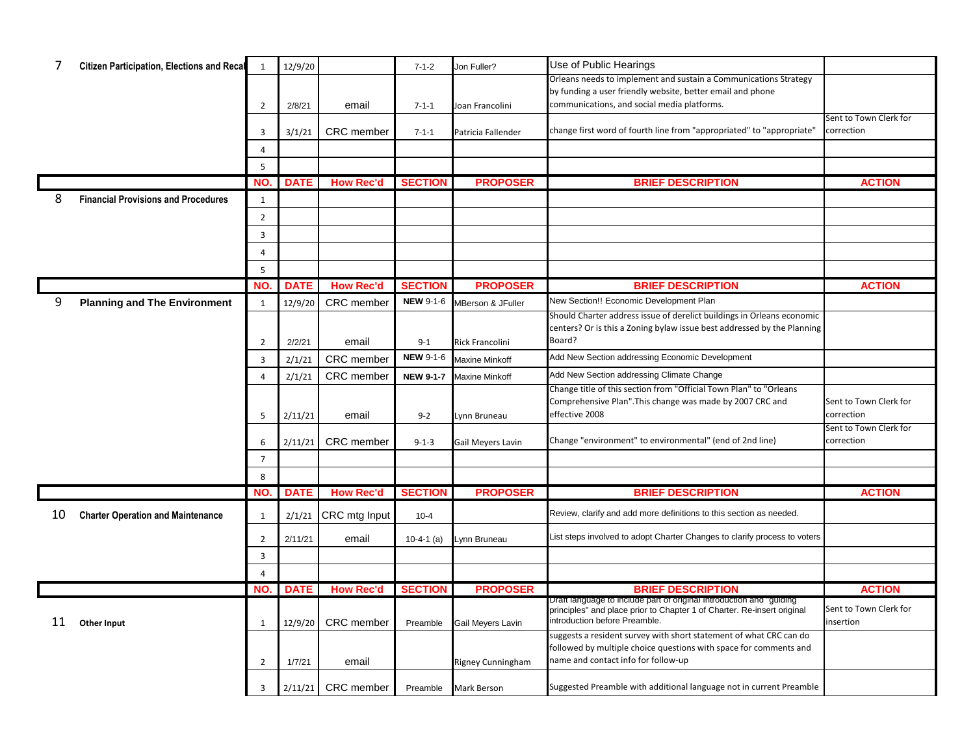| 7  | <b>Citizen Participation, Elections and Recal</b> | $\mathbf{1}$   | 12/9/20     |                      | $7 - 1 - 2$      | Jon Fuller?            | Use of Public Hearings                                                                                                                          |                                      |
|----|---------------------------------------------------|----------------|-------------|----------------------|------------------|------------------------|-------------------------------------------------------------------------------------------------------------------------------------------------|--------------------------------------|
|    |                                                   |                |             |                      |                  |                        | Orleans needs to implement and sustain a Communications Strategy                                                                                |                                      |
|    |                                                   | $\overline{2}$ | 2/8/21      | email                | $7 - 1 - 1$      | Joan Francolini        | by funding a user friendly website, better email and phone<br>communications, and social media platforms.                                       |                                      |
|    |                                                   |                |             |                      |                  |                        |                                                                                                                                                 | Sent to Town Clerk for               |
|    |                                                   | 3              | 3/1/21      | CRC member           | $7 - 1 - 1$      | Patricia Fallender     | change first word of fourth line from "appropriated" to "appropriate"                                                                           | correction                           |
|    |                                                   | 4              |             |                      |                  |                        |                                                                                                                                                 |                                      |
|    |                                                   | 5              |             |                      |                  |                        |                                                                                                                                                 |                                      |
|    |                                                   | NO.            | <b>DATE</b> | <b>How Rec'd</b>     | <b>SECTION</b>   | <b>PROPOSER</b>        | <b>BRIEF DESCRIPTION</b>                                                                                                                        | <b>ACTION</b>                        |
| 8  | <b>Financial Provisions and Procedures</b>        | $\mathbf{1}$   |             |                      |                  |                        |                                                                                                                                                 |                                      |
|    |                                                   | $\overline{2}$ |             |                      |                  |                        |                                                                                                                                                 |                                      |
|    |                                                   | $\overline{3}$ |             |                      |                  |                        |                                                                                                                                                 |                                      |
|    |                                                   | 4              |             |                      |                  |                        |                                                                                                                                                 |                                      |
|    |                                                   | 5              |             |                      |                  |                        |                                                                                                                                                 |                                      |
|    |                                                   | NO.            | <b>DATE</b> | <b>How Rec'd</b>     | <b>SECTION</b>   | <b>PROPOSER</b>        | <b>BRIEF DESCRIPTION</b>                                                                                                                        | <b>ACTION</b>                        |
| 9  | <b>Planning and The Environment</b>               | $\mathbf{1}$   | 12/9/20     | CRC member           | <b>NEW 9-1-6</b> | MBerson & JFuller      | New Section!! Economic Development Plan                                                                                                         |                                      |
|    |                                                   |                |             |                      |                  |                        | Should Charter address issue of derelict buildings in Orleans economic                                                                          |                                      |
|    |                                                   | $\overline{2}$ | 2/2/21      | email                | $9 - 1$          | <b>Rick Francolini</b> | centers? Or is this a Zoning bylaw issue best addressed by the Planning<br>Board?                                                               |                                      |
|    |                                                   | $\overline{3}$ |             | <b>CRC</b> member    | <b>NEW 9-1-6</b> | Maxine Minkoff         | Add New Section addressing Economic Development                                                                                                 |                                      |
|    |                                                   | $\overline{4}$ | 2/1/21      | CRC member           | <b>NEW 9-1-7</b> | <b>Maxine Minkoff</b>  | Add New Section addressing Climate Change                                                                                                       |                                      |
|    |                                                   |                | 2/1/21      |                      |                  |                        | Change title of this section from "Official Town Plan" to "Orleans                                                                              |                                      |
|    |                                                   |                |             |                      |                  |                        | Comprehensive Plan". This change was made by 2007 CRC and                                                                                       | Sent to Town Clerk for               |
|    |                                                   | 5              | 2/11/21     | email                | $9 - 2$          | Lynn Bruneau           | effective 2008                                                                                                                                  | correction                           |
|    |                                                   | 6              | 2/11/21     | <b>CRC</b> member    | $9 - 1 - 3$      | Gail Meyers Lavin      | Change "environment" to environmental" (end of 2nd line)                                                                                        | Sent to Town Clerk for<br>correction |
|    |                                                   | $\overline{7}$ |             |                      |                  |                        |                                                                                                                                                 |                                      |
|    |                                                   | 8              |             |                      |                  |                        |                                                                                                                                                 |                                      |
|    |                                                   | NO.            | <b>DATE</b> | <b>How Rec'd</b>     | <b>SECTION</b>   | <b>PROPOSER</b>        | <b>BRIEF DESCRIPTION</b>                                                                                                                        | <b>ACTION</b>                        |
|    |                                                   |                |             |                      |                  |                        | Review, clarify and add more definitions to this section as needed.                                                                             |                                      |
| 10 | <b>Charter Operation and Maintenance</b>          | 1              | 2/1/21      | CRC mtg Input        | $10 - 4$         |                        |                                                                                                                                                 |                                      |
|    |                                                   | $\overline{2}$ | 2/11/21     | email                | $10-4-1$ (a)     | Lynn Bruneau           | List steps involved to adopt Charter Changes to clarify process to voters                                                                       |                                      |
|    |                                                   | $\overline{3}$ |             |                      |                  |                        |                                                                                                                                                 |                                      |
|    |                                                   | $\overline{4}$ |             |                      |                  |                        |                                                                                                                                                 |                                      |
|    |                                                   | NO.            | <b>DATE</b> | <b>How Rec'd</b>     | <b>SECTION</b>   | <b>PROPOSER</b>        | <b>BRIEF DESCRIPTION</b>                                                                                                                        | <b>ACTION</b>                        |
|    |                                                   |                |             |                      |                  |                        | Draft language to include part of original Introduction and "guiding<br>principles" and place prior to Chapter 1 of Charter. Re-insert original | Sent to Town Clerk for               |
| 11 | <b>Other Input</b>                                | $\mathbf{1}$   | 12/9/20     | <b>CRC</b> member    | Preamble         | Gail Meyers Lavin      | introduction before Preamble.                                                                                                                   | insertion                            |
|    |                                                   |                |             |                      |                  |                        | suggests a resident survey with short statement of what CRC can do<br>followed by multiple choice questions with space for comments and         |                                      |
|    |                                                   | 2              | 1/7/21      | email                |                  | Rigney Cunningham      | name and contact info for follow-up                                                                                                             |                                      |
|    |                                                   | 3              |             | $2/11/21$ CRC member | Preamble         | Mark Berson            | Suggested Preamble with additional language not in current Preamble                                                                             |                                      |